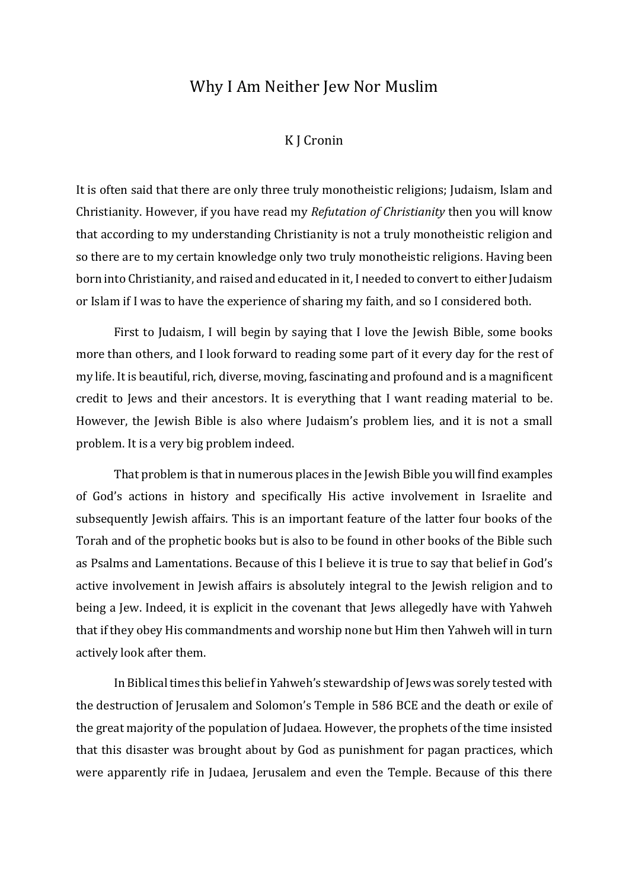## Why I Am Neither Jew Nor Muslim

## K J Cronin

It is often said that there are only three truly monotheistic religions; Judaism, Islam and Christianity. However, if you have read my *Refutation of Christianity* then you will know that according to my understanding Christianity is not a truly monotheistic religion and so there are to my certain knowledge only two truly monotheistic religions. Having been born into Christianity, and raised and educated in it, I needed to convert to either Judaism or Islam if I was to have the experience of sharing my faith, and so I considered both.

First to Judaism, I will begin by saying that I love the Jewish Bible, some books more than others, and I look forward to reading some part of it every day for the rest of my life. It is beautiful, rich, diverse, moving, fascinating and profound and is a magnificent credit to Jews and their ancestors. It is everything that I want reading material to be. However, the Jewish Bible is also where Judaism's problem lies, and it is not a small problem. It is a very big problem indeed.

That problem is that in numerous places in the Jewish Bible you will find examples of God's actions in history and specifically His active involvement in Israelite and subsequently Jewish affairs. This is an important feature of the latter four books of the Torah and of the prophetic books but is also to be found in other books of the Bible such as Psalms and Lamentations. Because of this I believe it is true to say that belief in God's active involvement in Jewish affairs is absolutely integral to the Jewish religion and to being a Jew. Indeed, it is explicit in the covenant that Jews allegedly have with Yahweh that if they obey His commandments and worship none but Him then Yahweh will in turn actively look after them.

In Biblical times this belief in Yahweh's stewardship of Jews was sorely tested with the destruction of Jerusalem and Solomon's Temple in 586 BCE and the death or exile of the great majority of the population of Judaea. However, the prophets of the time insisted that this disaster was brought about by God as punishment for pagan practices, which were apparently rife in Judaea, Jerusalem and even the Temple. Because of this there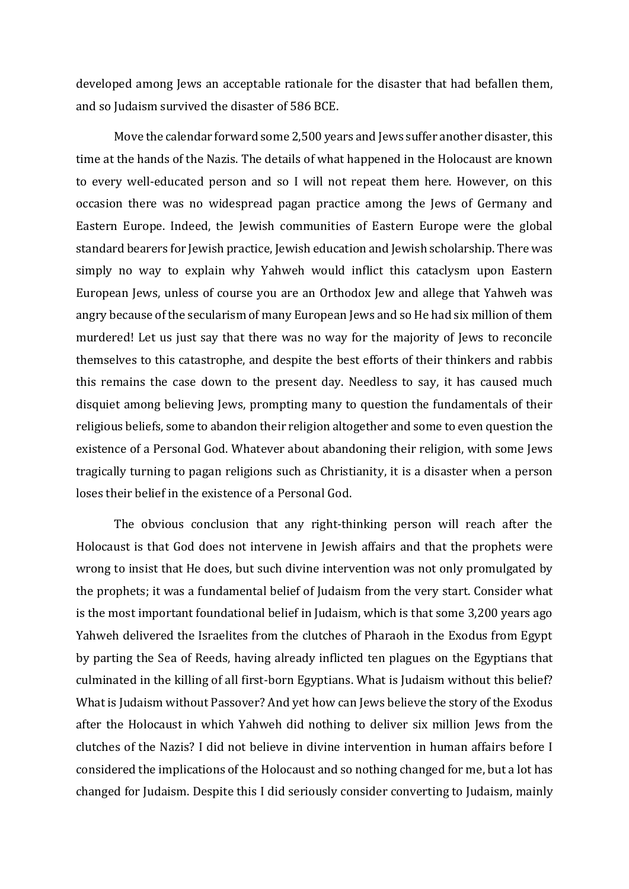developed among Jews an acceptable rationale for the disaster that had befallen them, and so Judaism survived the disaster of 586 BCE.

Move the calendar forward some 2,500 years and Jews suffer another disaster, this time at the hands of the Nazis. The details of what happened in the Holocaust are known to every well-educated person and so I will not repeat them here. However, on this occasion there was no widespread pagan practice among the Jews of Germany and Eastern Europe. Indeed, the Jewish communities of Eastern Europe were the global standard bearers for Jewish practice, Jewish education and Jewish scholarship. There was simply no way to explain why Yahweh would inflict this cataclysm upon Eastern European Jews, unless of course you are an Orthodox Jew and allege that Yahweh was angry because of the secularism of many European Jews and so He had six million of them murdered! Let us just say that there was no way for the majority of Jews to reconcile themselves to this catastrophe, and despite the best efforts of their thinkers and rabbis this remains the case down to the present day. Needless to say, it has caused much disquiet among believing Jews, prompting many to question the fundamentals of their religious beliefs, some to abandon their religion altogether and some to even question the existence of a Personal God. Whatever about abandoning their religion, with some Jews tragically turning to pagan religions such as Christianity, it is a disaster when a person loses their belief in the existence of a Personal God.

The obvious conclusion that any right-thinking person will reach after the Holocaust is that God does not intervene in Jewish affairs and that the prophets were wrong to insist that He does, but such divine intervention was not only promulgated by the prophets; it was a fundamental belief of Judaism from the very start. Consider what is the most important foundational belief in Judaism, which is that some 3,200 years ago Yahweh delivered the Israelites from the clutches of Pharaoh in the Exodus from Egypt by parting the Sea of Reeds, having already inflicted ten plagues on the Egyptians that culminated in the killing of all first-born Egyptians. What is Judaism without this belief? What is Judaism without Passover? And yet how can Jews believe the story of the Exodus after the Holocaust in which Yahweh did nothing to deliver six million Jews from the clutches of the Nazis? I did not believe in divine intervention in human affairs before I considered the implications of the Holocaust and so nothing changed for me, but a lot has changed for Judaism. Despite this I did seriously consider converting to Judaism, mainly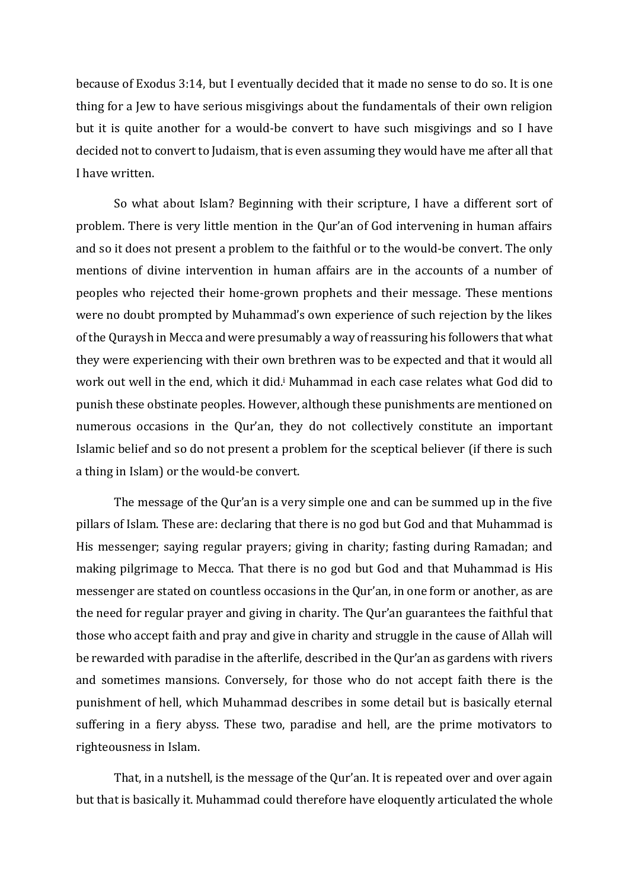because of Exodus 3:14, but I eventually decided that it made no sense to do so. It is one thing for a Jew to have serious misgivings about the fundamentals of their own religion but it is quite another for a would-be convert to have such misgivings and so I have decided not to convert to Judaism, that is even assuming they would have me after all that I have written.

So what about Islam? Beginning with their scripture, I have a different sort of problem. There is very little mention in the Qur'an of God intervening in human affairs and so it does not present a problem to the faithful or to the would-be convert. The only mentions of divine intervention in human affairs are in the accounts of a number of peoples who rejected their home-grown prophets and their message. These mentions were no doubt prompted by Muhammad's own experience of such rejection by the likes of the Quraysh in Mecca and were presumably a way of reassuring his followers that what they were experiencing with their own brethren was to be expected and that it would all work out well in the end, which it did.<sup>i</sup> Muhammad in each case relates what God did to punish these obstinate peoples. However, although these punishments are mentioned on numerous occasions in the Qur'an, they do not collectively constitute an important Islamic belief and so do not present a problem for the sceptical believer (if there is such a thing in Islam) or the would-be convert.

The message of the Qur'an is a very simple one and can be summed up in the five pillars of Islam. These are: declaring that there is no god but God and that Muhammad is His messenger; saying regular prayers; giving in charity; fasting during Ramadan; and making pilgrimage to Mecca. That there is no god but God and that Muhammad is His messenger are stated on countless occasions in the Qur'an, in one form or another, as are the need for regular prayer and giving in charity. The Qur'an guarantees the faithful that those who accept faith and pray and give in charity and struggle in the cause of Allah will be rewarded with paradise in the afterlife, described in the Qur'an as gardens with rivers and sometimes mansions. Conversely, for those who do not accept faith there is the punishment of hell, which Muhammad describes in some detail but is basically eternal suffering in a fiery abyss. These two, paradise and hell, are the prime motivators to righteousness in Islam.

That, in a nutshell, is the message of the Qur'an. It is repeated over and over again but that is basically it. Muhammad could therefore have eloquently articulated the whole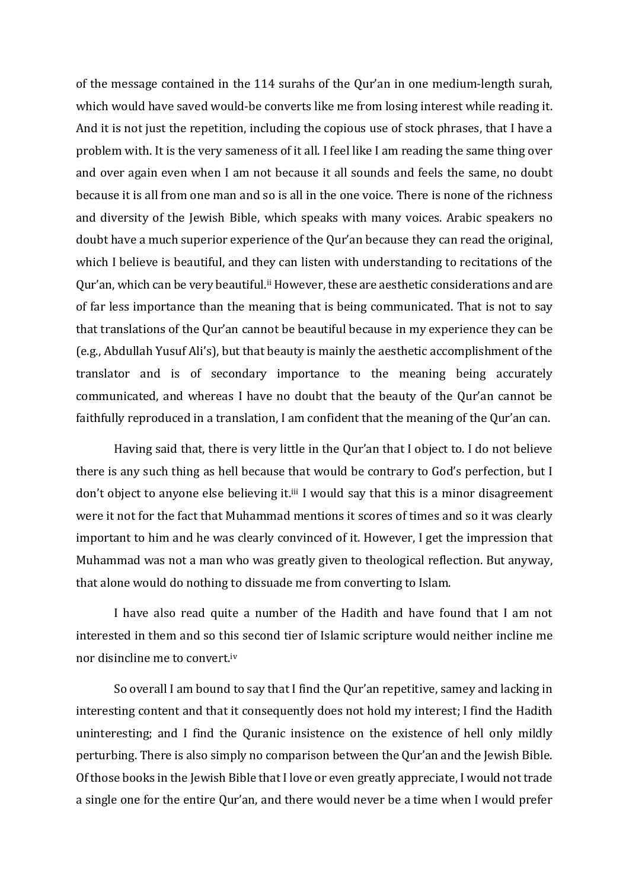of the message contained in the 114 surahs of the Qur'an in one medium-length surah, which would have saved would-be converts like me from losing interest while reading it. And it is not just the repetition, including the copious use of stock phrases, that I have a problem with. It is the very sameness of it all. I feel like I am reading the same thing over and over again even when I am not because it all sounds and feels the same, no doubt because it is all from one man and so is all in the one voice. There is none of the richness and diversity of the Jewish Bible, which speaks with many voices. Arabic speakers no doubt have a much superior experience of the Qur'an because they can read the original, which I believe is beautiful, and they can listen with understanding to recitations of the Qur'an, which can be very beautiful.ii However, these are aesthetic considerations and are of far less importance than the meaning that is being communicated. That is not to say that translations of the Qur'an cannot be beautiful because in my experience they can be (e.g., Abdullah Yusuf Ali's), but that beauty is mainly the aesthetic accomplishment of the translator and is of secondary importance to the meaning being accurately communicated, and whereas I have no doubt that the beauty of the Qur'an cannot be faithfully reproduced in a translation, I am confident that the meaning of the Qur'an can.

Having said that, there is very little in the Qur'an that I object to. I do not believe there is any such thing as hell because that would be contrary to God's perfection, but I don't object to anyone else believing it.<sup>iii</sup> I would say that this is a minor disagreement were it not for the fact that Muhammad mentions it scores of times and so it was clearly important to him and he was clearly convinced of it. However, I get the impression that Muhammad was not a man who was greatly given to theological reflection. But anyway, that alone would do nothing to dissuade me from converting to Islam.

I have also read quite a number of the Hadith and have found that I am not interested in them and so this second tier of Islamic scripture would neither incline me nor disincline me to convert.iv

So overall I am bound to say that I find the Qur'an repetitive, samey and lacking in interesting content and that it consequently does not hold my interest; I find the Hadith uninteresting; and I find the Quranic insistence on the existence of hell only mildly perturbing. There is also simply no comparison between the Qur'an and the Jewish Bible. Of those books in the Jewish Bible that I love or even greatly appreciate, I would not trade a single one for the entire Qur'an, and there would never be a time when I would prefer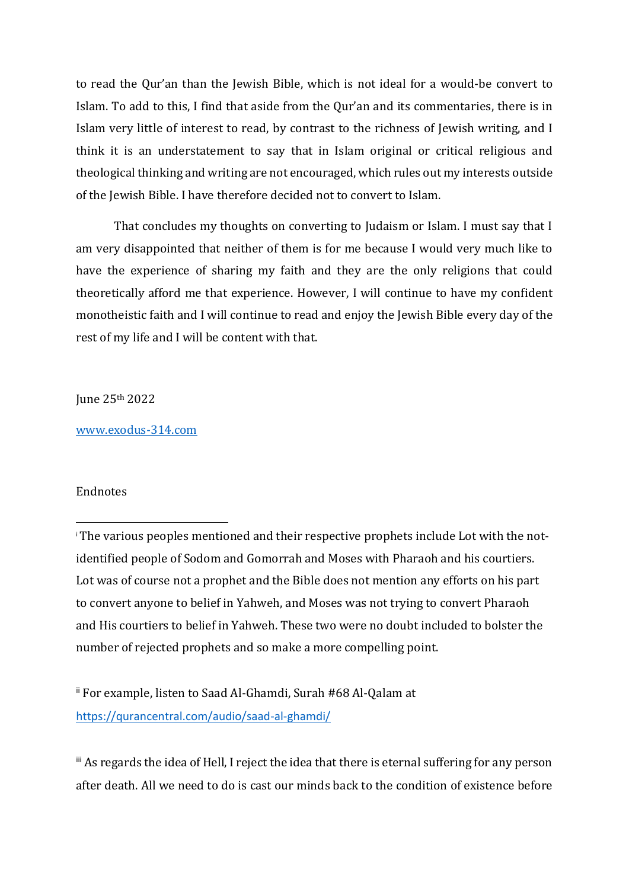to read the Qur'an than the Jewish Bible, which is not ideal for a would-be convert to Islam. To add to this, I find that aside from the Qur'an and its commentaries, there is in Islam very little of interest to read, by contrast to the richness of Jewish writing, and I think it is an understatement to say that in Islam original or critical religious and theological thinking and writing are not encouraged, which rules out my interests outside of the Jewish Bible. I have therefore decided not to convert to Islam.

That concludes my thoughts on converting to Judaism or Islam. I must say that I am very disappointed that neither of them is for me because I would very much like to have the experience of sharing my faith and they are the only religions that could theoretically afford me that experience. However, I will continue to have my confident monotheistic faith and I will continue to read and enjoy the Jewish Bible every day of the rest of my life and I will be content with that.

June 25th 2022

[www.exodus-314.com](http://www.exodus-314.com/)

## Endnotes

ii For example, listen to Saad Al-Ghamdi, Surah #68 Al-Qalam at <https://qurancentral.com/audio/saad-al-ghamdi/>

iii As regards the idea of Hell, I reject the idea that there is eternal suffering for any person after death. All we need to do is cast our minds back to the condition of existence before

<sup>i</sup> The various peoples mentioned and their respective prophets include Lot with the notidentified people of Sodom and Gomorrah and Moses with Pharaoh and his courtiers. Lot was of course not a prophet and the Bible does not mention any efforts on his part to convert anyone to belief in Yahweh, and Moses was not trying to convert Pharaoh and His courtiers to belief in Yahweh. These two were no doubt included to bolster the number of rejected prophets and so make a more compelling point.